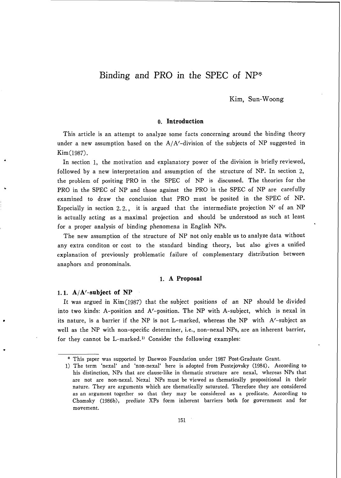# Binding and PRO in the SPEC of NP\*

# Kim, Sun-Woong

## **0.** Introduction

This article is an attempt to analyze some facts concerning around the binding theory under a new assumption based on the  $A/A'$ -division of the subjects of NP suggested in Kim(1987).

In section 1, the motivation and explanatory power of the division is briefly reviewed, followed by a new interpretation and assumption of the structure of NP. In section 2, the problem of positing PRO in the SPEC of NP is discussed. The theories for the PRO in the SPEC of NP and those against the PRO in the SPEC of NP are carefully examined to draw the conclusion that PRO must be posited in the SPEC of NP. Especially in section 2.2, it is argued that the intermediate projection  $N'$  of an  $NP$ is actually acting as a maximal projection and should be understood as such at least for a proper analysis of binding phenomena in English NPs.

The new assumption of the structure of NP not only enable us to analyze data without any extra conditon or cost to the standard binding theory, but also gives a unified explanation of previously problematic failure of complementary distribution between anaphors and pronominals.

## **1.** A Proposal

#### 1.1.  $A/A'$ -subject of NP

It was argued in Kim(1987) that the subject positions of an NP should be divided into two kinds: A-position and A'-position. The NP with A-subject, which is nexal in its nature, is a barrier if the NP is not L-marked, whereas the NP with  $A'$ -subject as well as the NP with non-specific determiner, i.e., non-nexal NPs, are an inherent barrier, for they cannot be L-marked.<sup>1)</sup> Consider the following examples:

<sup>\*</sup> This paper was supported by Daewoo Foundation under 1987 Post-Graduate Grant.

<sup>1)</sup> The term 'nexal' and 'non-nexal' here is adopted from Pustejovsky (1984). According to his distinction, NPs that are clause-like in thematic structure are nexal, whereas NPs that are not are non-nexal. Nexal NPs must be viewed as thematically propositional in their nature. They are arguments which are thematically saturated. Therefore they are considered as an argument together so that they may be considered as a predicate. According to Chomsky (1986b), prediate XPs form inherent barriers both for government and for movement.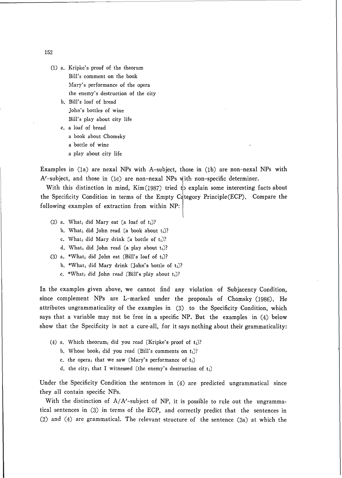- (1) a. Kripke's proof of the theorum Bill's comment on the book Mary's performance of the opera the enemy's destruction of the city
	- b. Bill's loaf of bread John's bottles of wine Bill's play about city life
	- *c.* a loaf of bread
		- a book about Chomsky
		- a bottle of wine
		- a play about city life

Examples in  $(1a)$  are nexal NPs with A-subject, those in  $(1b)$  are non-nexal NPs with A'-subject, and those in  $(1c)$  are non-nexal NPs with non-specific determiner.

With this distinction in mind, Kim(1987) tried to explain some interesting facts about the Specificity Condition in terms of the Empty Principle(ECP). Compare the following examples of extraction from within NP:

- (2) a. What; did Mary eat [a loaf of  $t_i$ ]?
	- b. What<sub>i</sub> did John read [a book about t<sub>i</sub>]?
	- c. What<sub>i</sub> did Mary drink [a bottle of  $t_i$ ]?
	- d. Whati did John read [a play about ti)?
- **(3)** a. \*Whati did John eat [Bill's loaf of ti)?
	- b. \*What<sub>i</sub> did Mary drink [John's bottle of  $t_i$ ]?
	- *c.* \*Whati did John read [Bill's play about ti]?

In the examples given above, we cannot find any violation of Subjacency Condition, since complement NPs are L-marked under the proposals of Chomsky (1986). He attributes ungrammaticality of the examples in (3) to the Specificity Condition, which says that a variable may not be free in **a** specific NP. But the examples in (4) below show that the Specificity is not a cure-all, for it says nothing about their grammaticality:

- (4) a. Which theorum<sub>i</sub> did you read [Kripke's proof of  $t_i$ ]?
	- b. Whose book<sub>i</sub> did you read [Bill's comments on  $t_i$ ]?
	- c. the opera<sub>i</sub> that we saw [Mary's performance of  $t_i$ ]
	- d. the city<sub>i</sub> that I witnessed [the enemy's destruction of t<sub>i</sub>]

Under the Specificity Condition the sentences in (4) are predicted ungrammatical since they all contain specific NPs.

With the distinction of A/A'-subject of NP, it is possible to rule out the ungrammatical sentences in (3) in terms of the ECP, and correctly predict that the sentences in **(2)** and (4) are grammatical. The relevant structure of the sentence (3a) at which the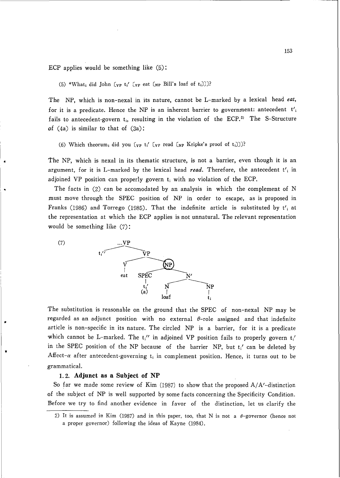ECP applies would be something like  $(5)$ :

(5) \*Whati did John **[VP** ti' **CVp** eat **[NP** Bill's loaf of ti]]]?

The NP, which is non-nexal in its nature, cannot be L-marked by a lexical head eat, for it is a predicate. Hence the NP is an inherent barrier to government: antecedent  $t'$ . fails to antecedent-govern  $t_i$ , resulting in the violation of the ECP.<sup>2)</sup> The S-Structure of (4a) is similar to that of (3a):

(6) Which theorum<sub>i</sub> did you  $[\nabla_{VP} t_i' \nabla_{VP} \r{read} \nabla_{NP}$  Kripke's proof of  $t_i$ ])?

The NP, which is nexal in its thematic structure, is not a barrier, even though it is an argument, for it is L-marked by the lexical head *read*. Therefore, the antecedent t'<sub>i</sub> in adjoined VP position can properly govern  $t_i$  with no violation of the ECP.

The facts in (2) can be accomodated by an analysis in which the complement of N must move through the SPEC position of NP in order to escape, as is proposed in Franks (1986) and Torrego (1985). That the indefinite article is substituted by  $t'_{i}$  at the representation at which the ECP applies is not unnatural. The relevant representation would be something like (7):





The substitution is reasonable on the ground that the SPEC of non-nexal NP may be regarded as an adjunct position with no external  $\theta$ -role assigned and that indefinite article is non-specific in its nature. The circled NP is a barrier, for it is a predicate which cannot be L-marked. The  $t_i''$  in adjoined VP position fails to properly govern  $t_i'$ in the SPEC position of the NP because of the barrier NP, but  $t_i'$  can be deleted by Affect- $\alpha$  after antecedent-governing  $t_i$  in complement position. Hence, it turns out to be grammatical.

### **1.2. Adjunct as a Subject of NP**

So far we made some review of Kim  $(1987)$  to show that the proposed  $A/A'$ -distinction of the subject of NP is well supported by some facts concerning the Specificity Condition. Before we try to find another evidence in favor of the distinction, let us clarify the

<sup>2)</sup> It is assumed in Kim (1987) and in this paper, too, that N is not a  $\theta$ -governor (hence not a proper governor) following the ideas of Kayne (1984).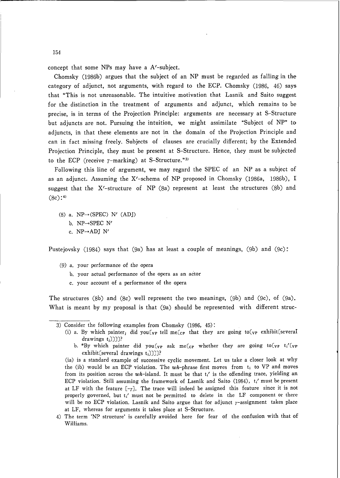concept that some NPs may have a A'-subject.

Chomsky (1986b) argues that the subject of an NP must be regarded as falling in the category of adjunct, not arguments, with regard to the ECP. Chomsky (1986, 46) says that "This is not unreasonable. The intuitive motivation that Lasnik and Saito suggest for the distinction in the treatment of arguments and adjunct, which remains to be precise, is in terms of the Projection Principle: arguments are necessary at S-Structure but adjuncts are not. Pursuing the intuition, we might assimilate "Subject of NP" to adjuncts, in that these elements are not in the domain of the Projection Principle and can in fact missing freely. Subjects of clauses are crucially different; by the Extended Projection Principle, they must be present at S-Structure. Hence, they must be subjected to the ECP (receive  $\gamma$ -marking) at S-Structure."<sup>3)</sup>

Following this line of argument, we may regard the SPEC of an NP as a subject of as an adjunct. Assuming the X'-schema of NP proposed in Chomsky (1986a, 1986b), I suggest that the X'-structure of NP  $(8a)$  represent at least the structures  $(8b)$  and  $(8c)$ :<sup>4)</sup>

- (8) a.  $NP \rightarrow (SPEC) N' (ADI)$ b.  $NP \rightarrow$ SPEC N'
	- c.  $NP \rightarrow ADJ N'$

Pustejovsky (1984) says that (9a) has at least a couple of meanings, (9b) and (gc):

- **(9)** a. your performance of the opera
	- b. your actual performance of the opera as an actor
	- c. your account of a performance of the opera

The structures (8b) and (8c) well represent the two meanings, (9b) and (9c), of (9a). What is meant by my proposal is that (ga) should be represented with different struc-

- 3) Consider the following examples from Chomsky (1986, 45) :
	- (i) a. By which painter, did you [vp tell me [cp that they are going to [vp exhibit [several] drawings  $t_i$ ]]]?
		- b. \*By which painter did you [vp ask me [cp whether they are going to [vp ti' [vp exhibit(several drawings  $t_i$ ]]]?

(ia) is a standard example of successive cyclic movement. Let us take a closer look at why the (ib) would be an ECP violation. The  $wh$ -phrase first moves from  $t_i$  to VP and moves from its position across the  $wh$ -island. It must be that  $t_i'$  is the offending trace, yielding an ECP violation. Still assuming the framework of Lasnik and Saito (1984),  $t_i'$  must be present at LF with the feature  $[-\tau]$ . The trace will indeed be assigned this feature since it is not properly governed, but t<sub>i</sub>' must not be permitted to delete in the LF component or there will be no ECP violation. Lasnik and Saito argue that for adjunct  $\gamma$ -assignment takes place at LF, whereas for arguments it takes place at S-Structure.

4) The term 'NF' structure' is carefully avoided here for fear of the confusion with that of Williams.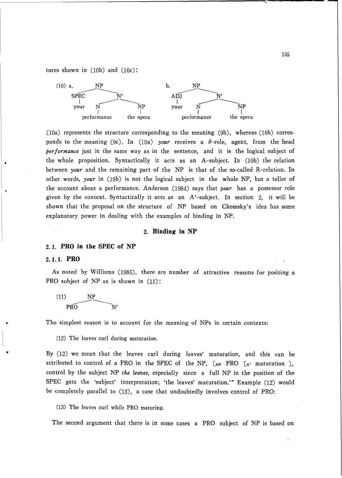tures shown in  $(10b)$  and  $(10c)$ :



 $(10a)$  represents the structure corresponding to the meaning  $(9b)$ , whereas  $(10b)$  corresponds to the meaning (9c). In (10a) *your* receives a  $\theta$ -role, agent, from the head *performance* just in the same way as in the sentence, and it is the logical subject of the whole proposition. Syntactically it acts as an A-subject. In (10b) the relation between *your* and the remaining part of the NP is that of the so-called R-relation. In other words, *your* in (lob) is not the logical subject in the whole NP, but a teller of the account about a performance. Anderson (1984) says that *your* has a possessor role given by the context. Syntactically it acts as an A'-subject. In section 2, it will be shown that the proposal on the structure of NP based on Chomsky's idea has some explanatory power in dealing with the examples of binding in NP.

## **2. Binding in NP**

## **2.1. PRO in the SPEC of NP**

# **2.1.1. PRO**

As noted by Williams (1985), there are number of attractive reasons for positing a PRO subject of NP as is shown in (11): 11 In the SPEC of NP<br>
RO<br>
ed by Williams (1985), there are number of attr<br>
ect of NP as is shown in (11):<br>
NP<br>
NO<br>
N'<br>
lest reason is to account for the meaning of NPs



The simplest reason is to account for the meaning of NPs in certain contexts:

(12) The leaves curl during maturation.

By (12) we mean that the leaves curl during leaves' maturation, and this can be attributed to control of a PRO in the SPEC of the NP,  $\begin{bmatrix} NP, & PRO & F_N \end{bmatrix}$  maturation 3, control by the subject NP *the leaves,* especially since a full NP in the position of the SPEC gets the 'subject' interpretation; 'the leaves' maturation.'" Example (12) would be completely parallel to (13), a case that undoubtedly involves control of PRO:

(13) The leaves curl while PRO maturing.

The second argument that there is in some cases a PRO subject of NP is based on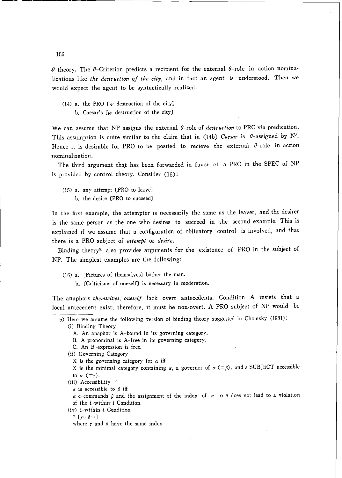$\theta$ -theory. The  $\theta$ -Criterion predicts a recipient for the external  $\theta$ -role in action nominalizations like *the destruction* of *the city,* and in fact an agent is understood. Then we would expect the agent to be syntactically realized:

(14) a. the PRO  $\left[\right]_N$  destruction of the city) b. Caesar's [N' destruction of the city]

We can assume that NP assigns the external 8-role of *destruction* to PRO via predication. This assumption is quite similar to the claim that in (14b) *Caesar* is  $\theta$ -assigned by N'. Hence it is desirable for PRO to be posited to recieve the external  $\theta$ -role in action nominalization.

The third argument that has been forwarded in favor of a PRO in the SPEC of NP is provided by control theory. Consider (15):

(15) a. any attempt [PRO to leave] b. the desire [PRO to succeed]

In the first example, the attempter is necessarily the same as the leaver, and the desirer is the same person as the one who desires to succeed in the second example. This is explained if we assume that a configuration of obligatory control is involved, and that there is a PRO subject of *attempt* or *desire.* 

Binding theory5) also provides arguments for the existence of PRO in the subject of NP. The simplest examples are the following:

- (16) a. [Pictures of themselves] bother the man.
	- b. [Criticisms of oneself] is necessary in moderation.

The anaphors *themselves, oneself* lack overt antecedents. Condition A insists that a local antecedent exist; therefore, it must be non-overt. A PRO subject of NP would be

- X is the governing category for  $\alpha$  iff
- X is the minimal category containing  $\alpha$ , a governor of  $\alpha$  (= $\beta$ ), and a SUBJECT accessible to  $\alpha$  (= $\tau$ ).
- (iii) Accessibility :
	- $\alpha$  is accessible to  $\beta$  iff
	- $\alpha$  c-commands  $\beta$  and the assignment of the index of  $\alpha$  to  $\beta$  does not lead to a violation of the i-within-i Condition.
- (iv) i-within-i Condition<br>\*  $\left[\gamma \cdots \delta \cdots \right]$

<sup>5)</sup> Here we assume the following version of binding theory suggested in Chomsky (1981): (i) Binding Theory

A. An anaphor is A-bound in its governing category.

B. A pronominal is A-free in its governing category.

C. An R-expression is free.

<sup>(</sup>ii) Governing Category

where  $\gamma$  and  $\delta$  have the same index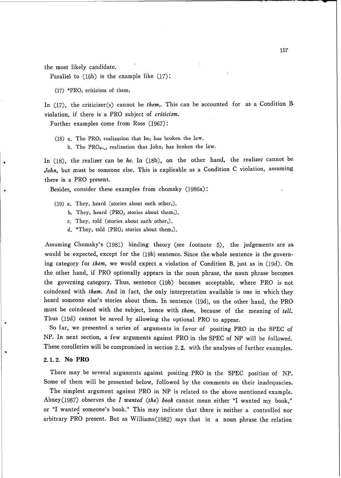the most likely candidate.

Parallel to  $(16b)$  is the example like  $(17)$ :

(17) \*PRO<sub>i</sub> criticism of them<sub>i</sub>

In (17), the criticizer(s) cannot be them<sub>i</sub>. This can be accounted for as a Condition B violation, if there is a PRO subject of criticism.

Further examples come from Ross (1967) :

(18) a. The PRO<sub>i</sub> realization that he<sub>i</sub> has broken the law. b. The PRO $_{\text{*i,j}}$  realization that John<sub>i</sub> has broken the law.

In  $(18)$ , the realizer can be he. In  $(18b)$ , on the other hand, the realizer cannot be John, but must be someone else. This is explicable as a Condition C violation, assuming there is a PRO present.

Besides, consider these examples from chomsky (1986a) :

- (19) **a.** Theyi heard [stories about each otheri].
	- b. They<sub>i</sub> heard  $\text{[PRO}_{j}$  stories about them<sub>i</sub>].
	- c. They<sub>i</sub> told [stories about each other<sub>i</sub>].
	- d. \*They<sub>i</sub> told [PRO<sub>i</sub> stories about them<sub>i</sub>].

Assuming Chomsky's (1981) binding theory (see footnote *5),* the judgements are as would be expected, except for the (19b) sentence. Since the whole sentence is the governing category for them, we would expect a violation of Condition B, just as in (19d). On the other hand, if PRO optionally appears in the noun phrase, the noun phrase becomes the governing category. Thus, sentence (19b) becomes acceptable, where PRO is not coindexed with them. And in fact, the only interpretation available is one in which they heard someone else's stories about them. In sentence (19d), on the other hand, the PRO must be coindexed with the subject, hence with them, because of the meaning of tell. Thus (19d) cannot be saved by allowing the optional PRO to appear.

So far, we presented a series of arguments in favor of positing PRO in the SPEC of NP. In next section, a few arguments against PRO in the SPEC of NP will be followed. These corolleries will be compromised in section 2.2. with the analyses of further examples.

## 2.1.2. No PRO

There may be several arguments against positing PRO in the SPEC position of NP. Some of them will be presented below, followed by the comments on their inadequacies.

The simplest argument against PRO in NP is related to the above mentioned example. Abney(1987) observes the *I wanted (the) book* cannot mean either "I wanted my book," or "I wanted someone's book." This may indicate that there is neither a controlled nor arbitrary PRO present. But as Williams(1982) says that in a noun phrase the relation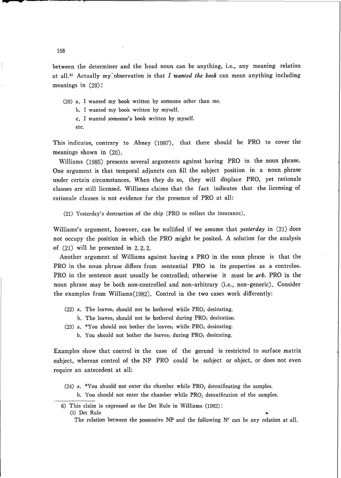between the determiner and the head noun can be anything, i.e., any meaning relation at all.<sup>6)</sup> Actually my<sup>-</sup>observation is that I wanted the book can mean anything including meanings in (20):

(20) a. I wanted my book written by someone other than me.

b. I wanted my book written by myself.

- c. I wanted someone's book written by myself.
- etc.

This indicates, contrary to Abney (1987), that there should be PRO to cover the meanings shown in (20).

Williams (1985) presents several arguments against having PRO in the noun phrase. One argument is that temporal adjuncts can fill the subject position in a noun phrase under certain circumstances. When they do so, they will displace PRO, yet rationale clauses are still licensed. Williams claims that the fact indicates that the licensing of rationale clauses is not evidence for the presence of PRO at all:

(21) Yesterday's destruction .of the ship [PRO to collect the insurance).

Williams's argument, however, can be nullified if we assume that *yesterday* in (21) does not occupy the position in which the PRO might be posited. A solution for the analysis of (21) will be presented in 2.2.2.

Another argument of Williams against having a PRO in the noun phrase is that the PRO in the noun phrase differs from sentential PRO in its properties as a controlee. PRO in the sentence must usually be controlled; otherwise it must be *arb.* PRO in the noun phrase may be both non-controlled and non-arbitrary (i.e., non-generic). Consider the examples from Williams(1982). Control in the two cases work differently:

- $(22)$  a. The leaves; should not be bothered while PRO; desicating.
	- b. The leaves; should not be bothered during  $PRO<sub>i</sub>$  desication.
- (23) a. \*You should not bother the leaves; while  $PRO<sub>i</sub>$  desicating.
	- b. You should not bother the leaves; during PRO; desicating.

Examples show that control in the case of the gerund is restricted to surface matrix subject, whereas control of the NP PRO could be subject or object, or does not even require an antecedent at all:

- (24) a. \*You shuold not enter the chamber while PRO; detoxificating the samples.
	- b. You should not enter the chamber while  $PRO<sub>j</sub>$  detoxification of the samples.

6) This claim is expressed as the Det Rule in Williams (1982) : (i) Det Rule  $\bullet$ 

The relation between the possessive NP and the following  $N'$  can be any relation at all.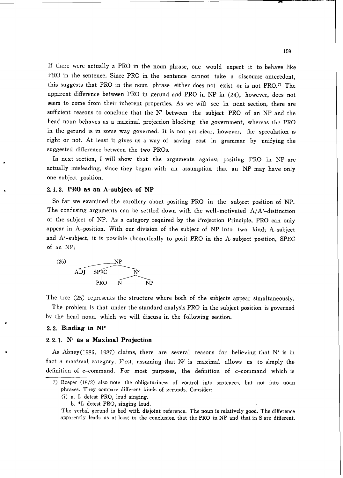If there were actually a PRO in the noun phrase, one would expect it to behave like PRO in the sentence. Since PRO in the sentence cannot take a discourse antecedent, this suggests that PRO in the noun phrase either does not exist or is not PRO.7) The apparent difference between PRO in gerund and PRO in NP in **(24),** however, does not seem to come from their inherent properties. As we will see in next section, there are sufficient reasons to conclude that the N' between the subject PRO of an NP and the head noun behaves as a maximal projection blocking the government, whereas the PRO in the gerund is in some way governed. It is not yet clear, however, the speculation is right or not. At least it gives us a way of saving cost in grammar by unifying the suggested difference between the two PROS.

In next section, I will show that the arguments against positing PRO in NP are actually misleading, since they began with an assumption that an NP may have only one subject position.

# **2.1.3. PRO as an A-subject of NP**

So far we examined the corollery about positing PRO in the subject position of NP. The confusing arguments can be settled down with the well-motivated A/A'-distinction of the subject of NP. As a category required by the Projection Principle, PRO can only appear in A-position. With our division of the subject of NP into two kind; A-subject and A'-subject, it is possible theoretically to posit PRO in the A-subject position, SPEC of an NP:



The tree (25) represents the structure where both of the subjects appear simultaneously.

The problem is that under the standard analysis PRO in the subject position is governed by the head noun, which we will discuss in the following section.

## **2.2. Binding in NP**

## **2.2.1. N' as a Maximal Projection**

As Abney(1986, 1987) claims, there are several reasons for believing that N' is in fact a maximal category. First, assuming that  $N'$  is maximal allows us to simply the definition of c-command. For most purposes, the definition of c-command which is

<sup>7)</sup> Roeper (1972) also note the obligatoriness of control into sentences, but not into noun phrases. They compare different kinds of gerunds. Consider:

<sup>(</sup>i) a. **Ii** detest PROj loud singing.

b.  $*I_i$  detest PRO<sub>i</sub> singing loud.

The verbal gerund is bad with disjoint reference. The noun is relatively good. The difference apparently leads us at least to the conclusion that the PRO in **NT** and that in S are different.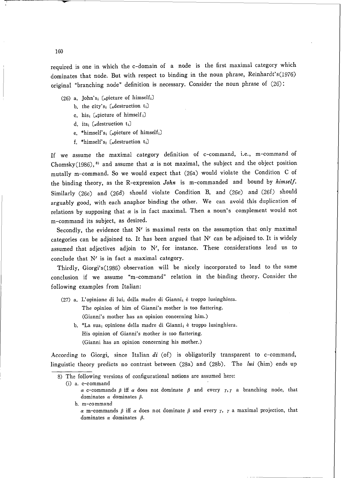required is one in which the c-domain of a node is the first maximal category which dominates that node. But with respect to binding in the noun phrase, Reinhardt's(l976) original "branching node" definition is necessary. Consider the noun phrase of (26) :

- (26) a. John's<sub>i</sub> [ $_{\alpha}$ picture of himself<sub>i</sub>]
	- b. the city's<sub>i</sub> [ $\alpha$ destruction t<sub>i</sub>]
	- c. his<sub>i</sub>  $\left[\alpha\right]$  picture of himself;
	- d. its:  $[a$ destruction  $t_i]$
	- e. \*himself's<sub>i</sub> ( $_{\alpha}$ picture of himself<sub>i</sub>)
	- f. \*himself's<sub>i</sub> [ $\alpha$ destruction t<sub>i</sub>]

If we assume the maximal category definition of c-command, i.e., m-command of Chomsky(1986),  $8$  and assume that  $\alpha$  is not maximal, the subject and the object position mutally m-command. So we would expect that (26a) would violate the Condition C of the binding theory, as the R-expression *John* is m-commanded and bound by **himself.**  Similarly (26c) and (26d) should violate Condition B, and (26e) and (26f) should arguably good, with each anaphor binding the other. We can avoid this duplication of relations by supposing that  $\alpha$  is in fact maximal. Then a noun's complement would not m-command its subject, as desired.

Secondly, the evidence that  $N'$  is maximal rests on the assumption that only maximal categories can be adjoined to. It has been argued that N' can be adjoined to. It is widely assumed that adjectives adjoin to N', for instance. These considerations lead us to conclude that N' is in fact a maximal category.

Thirdly, Giorgi's(l986) observation will be nicely incorporated to lead to the same conclusion if we assume "m-command" relation in the binding theory. Consider the following examples from Italian:

- (27) a. L'opinione di Iuii della madre di Giannii *6* troppo lusinghiera. The opinion of him of Gianni's mother is too flattering. (Gianni's mother has an opinion concerning him.)
	- b. \*La suai opinione della madre di Giannii *6* troppo lusinghiera. His opinion of Gianni's mother is too flattering. (Gianni has an opinion concerning his mother.)

According to Giorgi, since Italian **di** (of) is obligatorily transparent to c-command, linguistic theory predicts no contrast between (28a) and (28b). The **lui** (him) ends up

(i) a. c-command

b. m-command

<sup>8)</sup> The following versions of configurational notions are assumed here:

 $\alpha$  c-commands  $\beta$  iff  $\alpha$  does not dominate  $\beta$  and every  $\gamma$ ,  $\gamma$  a branching node, that dominates  $\alpha$  dominates  $\beta$ .

 $\alpha$  m-commands  $\beta$  iff  $\alpha$  does not dominate  $\beta$  and every  $\gamma$ ,  $\gamma$  a maximal projection, that dominates  $\alpha$  dominates  $\beta$ .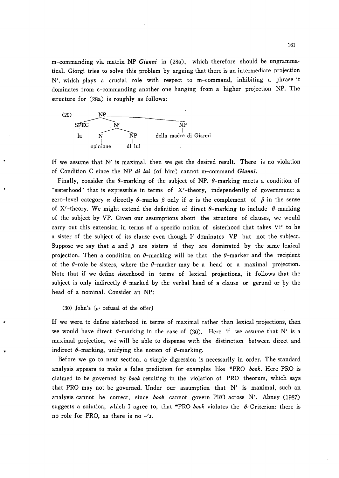m-commanding via matrix NP *Gianni* in (28a), which therefore should be ungrammatical. Giorgi tries to solve this problem by arguing that there is an intermediate projection N', which plays a crucial role with respect to m-command, inhibiting a phrase it dominates from c-commanding another one hanging from a higher projection **NP.** The structure for (28a) is roughly as follows:



If we assume that  $N'$  is maximal, then we get the desired result. There is no violation of Condition C since the NP *di lui* (of him) cannot m-command *Gianni.* 

Finally, consider the  $\theta$ -marking of the subject of NP.  $\theta$ -marking meets a condition of "sisterhood" that is expressible in terms of  $X'$ -theory, independently of government: a zero-level category  $\alpha$  directly  $\theta$ -marks  $\beta$  only if  $\alpha$  is the complement of  $\beta$  in the sense of X'-theory. We might extend the definition of direct  $\theta$ -marking to include  $\theta$ -marking of the subject by VP. Given our assumptions about the structure of clauses, we would carry out this extension in terms of a specific notion of sisterhood that takes VP to be a sister of the subject of its clause even though I' dominates VP but not the subject. Suppose we say that  $\alpha$  and  $\beta$  are sisters if they are dominated by the same lexical projection. Then a condition on  $\theta$ -marking will be that the  $\theta$ -marker and the recipient of the  $\theta$ -role be sisters, where the  $\theta$ -marker may be a head or a maximal projection. Note that if we define sisterhood in terms of lexical projections, it follows that the subject is only indirectly  $\theta$ -marked by the verbal head of a clause or gerund or by the head of a nominal. Consider an NP:

(30)  $John's [N'$  refusal of the offer)

If we were to define sisterhood in terms of maximal rather than lexical projections, then we would have direct  $\theta$ -marking in the case of (30). Here if we assume that N' is a maximal projection, we will be able to dispense with the distinction between direct and indirect  $\theta$ -marking, unifying the notion of  $\theta$ -marking.

Before we go to next section, a simple digression is necessarily in order. The standard analysis appears to make a false prediction for examples like \*PRO *book.* Here PRO is claimed to be governed by *book* resulting in the violation of PRO theorum, which says that PRO may not be governed. Under our assumption that N' is maximal, such an analysis cannot be correct, since *book* cannot govern PRO across N'. Abney (1987) suggests a solution, which I agree to, that \*PRO *book* violates the  $\theta$ -Criterion: there is no role for PRO, as there is no **-'s.**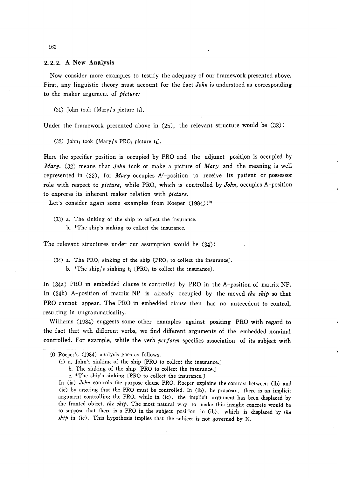#### **2.2.2. A New Analysis**

Now consider more examples to testify the adequacy of our framework presented above. First, any linguistic theory must account for the fact *John* is understood as corresponding to the maker argument of *picture:* 

(31) John took [Maryi's picture ti].

Under the framework presented above in  $(25)$ , the relevant structure would be  $(32)$ :

**(32)** Johnj took [Maryi's PROj picture ti].

Here the specifier position is occupied by PRO and the adjunct position is occupied by *Mary.* (32) means that *John* took or make a picture of *Mary* and the meaning is well represented in (32), for *Mary* occupies A'-position to receive its patient or possessor role with respect to *picture,* while PRO, which is controlled by *John,* occupies A-position to exprerss its inherent maker relation with *picture.* 

Let's consider again some examples from Roeper (1984):<sup>9)</sup>

(33) a. The sinking of the ship to collect the insurance. b. \*The ship's sinking to collect the insurance.

The relevant structures under our assumption would be (34):

(34) a. The PRO<sub>i</sub> sinking of the ship  $(PRO<sub>i</sub>$  to collect the insurance]. b. \*The ship<sub>i</sub>'s sinking  $t_j$  (PRO<sub>i</sub> to collect the insurance).

In (34a) PRO in embedded clause is controlled by PRO in the A-position of matrix NP. In (34b) A-position of matrix NP is already occupied by the moved *the ship* so that *PRO* cannot appear. The PRO in embedded clause then has no antecedent to control, resulting in ungrammaticality.

Williams (1984) suggests some other examples against positing PRO with regard to the fact that wth different verbs, we find different arguments of the embedded nominal controlled. For example, while the verb *perform* specifies association of its subject with

<sup>9)</sup> Roeper's (1984) analysis goes as follows:

<sup>(</sup>i) a. John's sinking of the ship [PRO to collect the insurance.]

b. The sinking of the ship [PRO to collect the insurance.]

c. "The ship's sinking [PRO to collect the insurance.]

In (ia) John controls the purpose clause PRO. Roeper explains the contrast between (ib) and (ic) by arguing that the PRO must be controlled. In (ib), he proposes, there is an implicit argument controlling the PRO, while in (ic), the implicit argument has been displaced by the fronted object, *the ship.* The most natural way to make this insight concrete would be to suppose that there is a PRO in the subject position in (ib), which is displaced by *the ship* in (ic). This hypothesis implies that the subject is not governed by N.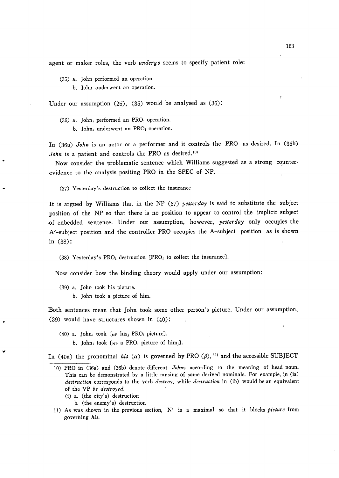agent or maker roles, the verb *undergo* seems to specify patient role:

- (35) a. John performed an operation.
	- b. John underwent an operation.

Under our assumption  $(25)$ ,  $(35)$  would be analysed as  $(36)$ :

- (36) a. John; performed an PRO<sub>i</sub> operation.
	- b. John; underwent an PRO<sub>i</sub> operation.

In (36a) *John* is an actor or a performer and it controls the PRO as desired. In (36b) John is a patient and controls the PRO as desired.<sup>10)</sup>

Now consider the problematic sentence which Williams suggested as a strong counterevidence to the analysis positing PRO in the SPEC of NP.

(37) Yesterday's destruction to collect the insurance

It is argued by Williams that in the NP (37) *yesterday* is said to substitute the subject position of the NP so that there is no position to appear to control the implicit subject of enbedded sentence. Under our assumption, however, *yesterday* only occupies the A'-subject position and the controller PRO occupies the A-subject position as is shown in (38):

(38) Yesterday's PRO<sub>i</sub> destruction [PRO<sub>i</sub> to collect the insurance].

Now consider how the binding theory would apply under our assumption:

- (39) a. John took his picture.
	- b. John took a picture of him.

Both sentences mean that John took some other person's picture. Under our assumption, (39) would have structures shown in (40):

(40) a. Johni took **[~p** hisj PROi picture]. b. John<sub>i</sub> took  $\lceil_{\text{NP}}\rceil$  a PRO<sub>i</sub> picture of him<sub>j</sub>].

In (40a) the pronominal *his* ( $\alpha$ ) is governed by PRO ( $\beta$ ), <sup>11)</sup> and the accessible SUBJECT

- (i) a. (the city's) destruction
	- b. (the enemy's) destruction
- 11) As was shown in the previous section, N' is a maximal so that it blocks picture from governing his.

<sup>10)</sup> PRO in (36a) and (36b) denote different Johns according to the meaning of head noun. This can be demonstrated by a little musing of some derived nominals. For example, in (ia) destruction corresponds to the verb destroy, while destruction in (ib) would be an equivalent of the VP *be* destroyed.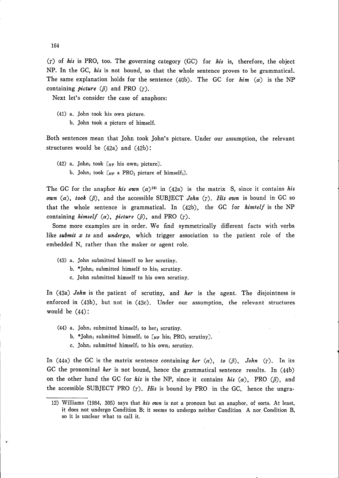(7) of *his* is PRO, too. The governing category (GC) for *his* is, therefore, the object NP. In the GC, *his* is not bound, so that the whole sentence proves to be grammatical. The same explanation holds for the sentence (40b). The GC for  $him (\alpha)$  is the NP containing *picture*  $(\beta)$  and PRO  $(\gamma)$ .

Next let's consider the case of anaphors:

- **(41) a.** John took his own picture.
	- b. John took a picture of himself.

Both sentences mean that John took John's picture. Under our assumption, the relevant structures would be (42a) and (42b):

**(42)** a. Johni took **[NP** his owni picture]. b. John<sub>i</sub> took [NP a PRO<sub>j</sub> picture of himself<sub>i</sub>].

The GC for the anaphor *his own*  $(\alpha)^{12}$  in (42a) is the matrix S, since it contains *his own*  $(\alpha)$ , *took*  $(\beta)$ , and the accessible SUBJECT *John*  $(\gamma)$ . *His own* is bound in GC so that the whole sentence is grammatical. In (42b), the GC for *himself* is the NP containing *himself*  $(\alpha)$ , *picture*  $(\beta)$ , and PRO  $(\gamma)$ .

Some more examples are in order. We find symmetrically different facts with verbs like *submit* **x** *to* and *undergo,* which trigger association to the patient role of the embedded N, rather than the maker or agent role.

- **(43) a.** John submitted himself to her scrutiny.
	- b. \*John; submitted himself to his; scrutiny.
	- c. John submitted himself to his own scrutiny.

In (43a) *John* is the patient of scrutiny, and *her* is the agent. The disjointness is enforced in (43b), but not in (43c). Under our assumption, the relevant structures would be (44):

- (44) a. John<sub>i</sub> submitted himself<sub>i</sub> to her<sub>i</sub> scrutiny.
	- b. \*John<sub>i</sub> submitted himself<sub>i</sub> to  $\lceil_{NP}$  his<sub>i</sub> PRO<sub>i</sub> scrutiny).
	- c. John; submitted himself; to his own; scrutiny.

In (44a) the GC is the matrix sentence containing *her*  $(\alpha)$ , to  $(\beta)$ , John  $(\gamma)$ . In its GC the pronominal *her* is not bound, hence the grammatical sentence results. In (44b) on the other hand the GC for *his* is the NP, since it contains *his*  $(\alpha)$ , PRO  $(\beta)$ , and the accessible SUBJECT PRO (7). *His* is bound by PRO in the GC, hence the ungra-

**<sup>12)</sup>** Williams **(1984, 305)** says that **his** *own* is not a pronoun but an anaphor, of sorts. At least, it does not undergo Condition B; it seems to undergo neither Condition A nor Condition B, so it is unclear what to call it.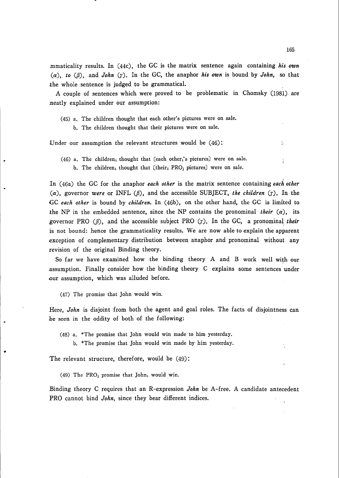mmaticality results. In (44c), the GC is the matrix sentence again containing *his own*   $(\alpha)$ , *to*  $(\beta)$ , and *John*  $(\gamma)$ . In the GC, the anaphor *his own* is bound by *John*, so that ihe whole sentence is judged to be grammatical.

A couple of sentences which were proved to be problematic in Chomsky (1981) are neatly explained under our assumption:

- (45) a. The children thought that each other's pictures were on sale.
	- b. The children thought that their pictures were on sale.

Under our assumption the relevant structures would be  $(46)$ :

(46) a. The children<sub>i</sub> thought that [each other<sub>i</sub>'s pictures] were on sale. b. The children<sub>i</sub> thought that [their<sub>i</sub> PRO<sub>j</sub> pictures] were on sale.

In (46a) the GC for the anaphor *each other* is the matrix sentence containing *each other*   $(\alpha)$ , governor *were* or INFL  $(\beta)$ , and the accessible SUBJECT, *the children*  $(\gamma)$ . In the GC *each other* is bound by *children.* In (46b), on the other hand, the GC is limited to the NP in the embedded sentence, since the NP contains the pronominal *their*  $(\alpha)$ , its governor PRO  $(\beta)$ , and the accessible subject PRO  $(\gamma)$ . In the GC, a pronominal *their* is not bound: hence the grammaticality results. We are now able to explain the apparent exception of complementary distribution between anaphor and pronominal without any revision of the original Binding theory.

So far we have examined how the binding theory A and B work well with our assumption. Finally consider how the binding theory C explains some sentences under our assumption, which was alluded before.

(47) The promise that John would win.

Here, *John* is disjoint from both the agent and goal roles. The facts of disjointness can be seen in the oddity of both of the following:

- (48) a. \*The promise that John would win made to him yesterday.
	- b. \*The promise that John would win made by him yesterday.

The relevant structure, therefore, would be (49):

(49) The PROj promise that Johni would win.

Binding theory C requires that an R-expression *John* be A-free. A candidate antecedent .PRO cannot bind *John,* since they bear different indices.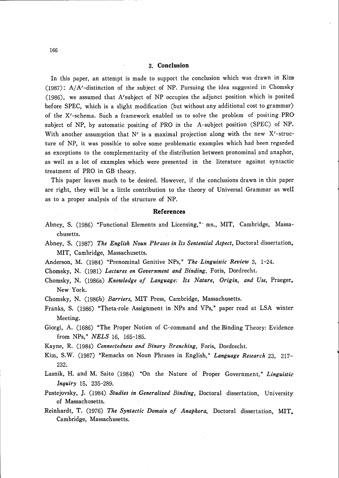## **3. Conclusion**

In this paper, an attempt is made to support the conclusion which was drawn in Kim (1987):  $A/A'$ -distinction of the subject of NP. Pursuing the idea suggested in Chomsky (1986), we assumed that A'subject of NP occupies the adjunct position which is posited before SPEC, which is a slight modification (but without any additional cost to grammar) of the X'-schema. Such a framework enabled us to solve the problem of positing PRO subject of NP, by automatic positing of PRO in the A-subject position (SPEC) of NP. With another assumption that  $N'$  is a maximal projection along with the new X'-structure of NP, it was possible to solve some problematic examples which had been regarded as exceptions to the complementarity of the distribution between pronominal and anaphor, as well as a lot of examples which were presented in the literature against syntactic treatment of PRO in GB theory.

This paper leaves much to be desired. However, if the conclusions drawn in this paper are right, they will be a little contribution to the theory of Universal Grammar as we11 as to a proper analysis of the structure of NP.

### **References**

- Abney, S. (1986) "Functional Elements and Licensing," ms., MIT, Cambridge, Massachusetts.
- Abney, S. (1987) *The English Noun Phrases in Its Sentential Aspect,* Doctoral dissertation, MIT, Cambridge, Massachusetts.
- Anderson, M. (1984) "Prenominal Genitive NPs," *The Linguistic Review* 3, 1-24.

Chomsky, N. (1981) *Lectures on Government and Binding,* Foris, Dordrecht.

- Chomsky, N. (1986a) *Knowledge of Language: Its Nature, Origin, and Use,* Praeger, New York.
- Chomsky, N. (1986b) *Barriers*, MIT Press, Cambridge, Massachusetts.
- Franks, S. (1986) "Theta-role Assignment in NPs and VPs," paper read at LSA winter Meeting.
- Giorgi, A. (1686) "The Proper Notion of C-command and the Binding Theory: Evidence from NPs,' *NELS* 16, 165-185.
- Kayne, R. (1984) *Connectedness and Binary Branching,* Foris, Dordrecht.
- Kim, S.W. (1987) "Remarks on Noun Phrases in English,' *Language Research* 23, 217- 232.
- Lasnik, H. and M. Saito (1984) "On the Nature of Proper Government," *Linguistic Inquiry* 15, 235-289.
- Pustejovsky, J. (1984) *Studies in Generalized Binding,* Doctoral dissertation, University of Massachusetts.
- Reinhardt, T. (1976) *The Syntactic Domain of Anaphora,* Doctoral dissertation, MIT, Cambridge, Massachusetts.